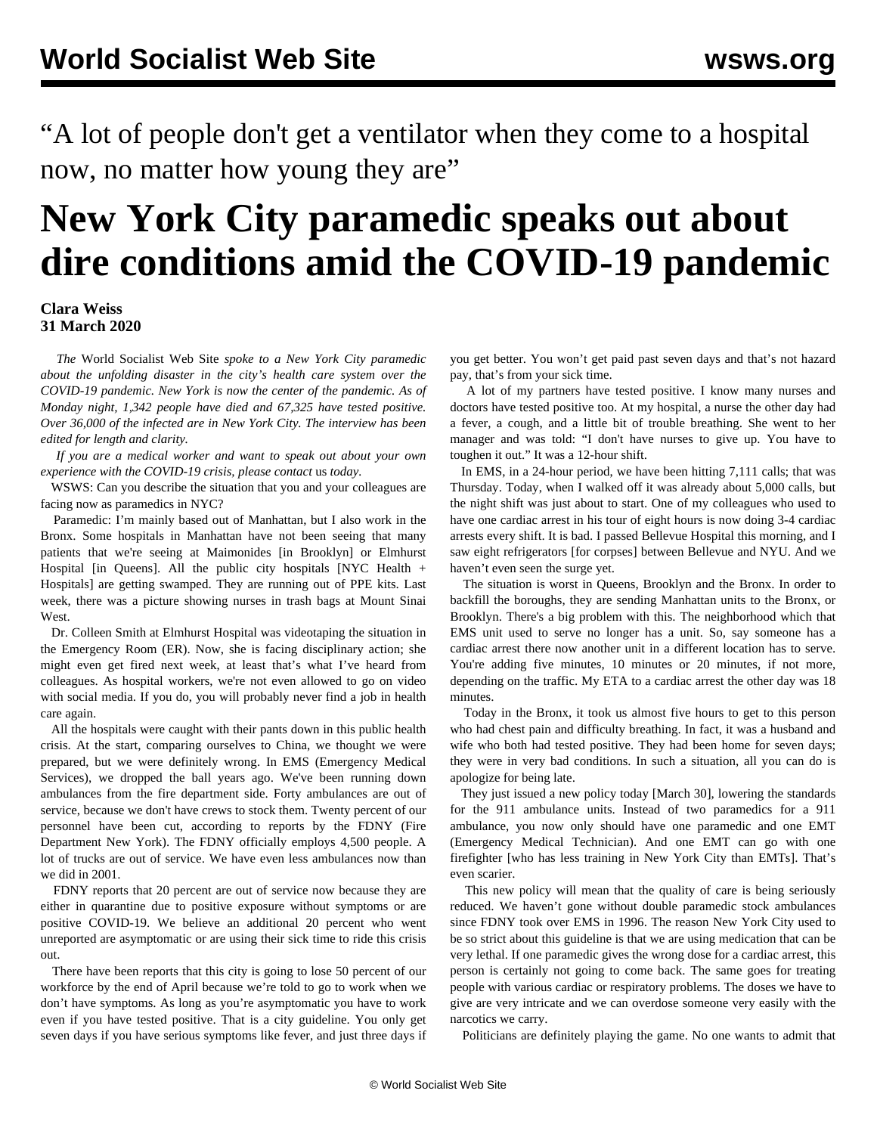"A lot of people don't get a ventilator when they come to a hospital now, no matter how young they are"

## **New York City paramedic speaks out about dire conditions amid the COVID-19 pandemic**

## **Clara Weiss 31 March 2020**

 *The* World Socialist Web Site *spoke to a New York City paramedic about the unfolding disaster in the city's health care system over the COVID-19 pandemic. New York is now the center of the pandemic. As of Monday night, 1,342 people have died and 67,325 have tested positive. Over 36,000 of the infected are in New York City. The interview has been edited for length and clarity.*

 *If you are a medical worker and want to speak out about your own experience with the COVID-19 crisis, please [contact](/en/special/contact.html)* [us](/en/special/contact.html) *today.*

 WSWS: Can you describe the situation that you and your colleagues are facing now as paramedics in NYC?

 Paramedic: I'm mainly based out of Manhattan, but I also work in the Bronx. Some hospitals in Manhattan have not been seeing that many patients that we're seeing at Maimonides [in Brooklyn] or Elmhurst Hospital [in Queens]. All the public city hospitals [NYC Health + Hospitals] are getting swamped. They are running out of PPE kits. Last week, there was a picture showing nurses in trash bags at Mount Sinai West.

 Dr. Colleen Smith at Elmhurst Hospital was [videotaping](https://www.youtube.com/watch?v=bE68xVXf8Kw) the situation in the Emergency Room (ER). Now, she is facing disciplinary action; she might even get fired next week, at least that's what I've heard from colleagues. As hospital workers, we're not even allowed to go on video with social media. If you do, you will probably never find a job in health care again.

 All the hospitals were caught with their pants down in this public health crisis. At the start, comparing ourselves to China, we thought we were prepared, but we were definitely wrong. In EMS (Emergency Medical Services), we dropped the ball years ago. We've been running down ambulances from the fire department side. Forty ambulances are out of service, because we don't have crews to stock them. Twenty percent of our personnel have been cut, according to reports by the FDNY (Fire Department New York). The FDNY officially employs 4,500 people. A lot of trucks are out of service. We have even less ambulances now than we did in 2001.

 FDNY reports that 20 percent are out of service now because they are either in quarantine due to positive exposure without symptoms or are positive COVID-19. We believe an additional 20 percent who went unreported are asymptomatic or are using their sick time to ride this crisis out.

 There have been reports that this city is going to lose 50 percent of our workforce by the end of April because we're told to go to work when we don't have symptoms. As long as you're asymptomatic you have to work even if you have tested positive. That is a city guideline. You only get seven days if you have serious symptoms like fever, and just three days if you get better. You won't get paid past seven days and that's not hazard pay, that's from your sick time.

 A lot of my partners have tested positive. I know many nurses and doctors have tested positive too. At my hospital, a nurse the other day had a fever, a cough, and a little bit of trouble breathing. She went to her manager and was told: "I don't have nurses to give up. You have to toughen it out." It was a 12-hour shift.

 In EMS, in a 24-hour period, we have been hitting 7,111 calls; that was Thursday. Today, when I walked off it was already about 5,000 calls, but the night shift was just about to start. One of my colleagues who used to have one cardiac arrest in his tour of eight hours is now doing 3-4 cardiac arrests every shift. It is bad. I passed Bellevue Hospital this morning, and I saw eight refrigerators [for corpses] between Bellevue and NYU. And we haven't even seen the surge yet.

 The situation is worst in Queens, Brooklyn and the Bronx. In order to backfill the boroughs, they are sending Manhattan units to the Bronx, or Brooklyn. There's a big problem with this. The neighborhood which that EMS unit used to serve no longer has a unit. So, say someone has a cardiac arrest there now another unit in a different location has to serve. You're adding five minutes, 10 minutes or 20 minutes, if not more, depending on the traffic. My ETA to a cardiac arrest the other day was 18 minutes.

 Today in the Bronx, it took us almost five hours to get to this person who had chest pain and difficulty breathing. In fact, it was a husband and wife who both had tested positive. They had been home for seven days; they were in very bad conditions. In such a situation, all you can do is apologize for being late.

 They just issued a new policy today [March 30], lowering the standards for the 911 ambulance units. Instead of two paramedics for a 911 ambulance, you now only should have one paramedic and one EMT (Emergency Medical Technician). And one EMT can go with one firefighter [who has less training in New York City than EMTs]. That's even scarier.

 This new policy will mean that the quality of care is being seriously reduced. We haven't gone without double paramedic stock ambulances since FDNY took over EMS in 1996. The reason New York City used to be so strict about this guideline is that we are using medication that can be very lethal. If one paramedic gives the wrong dose for a cardiac arrest, this person is certainly not going to come back. The same goes for treating people with various cardiac or respiratory problems. The doses we have to give are very intricate and we can overdose someone very easily with the narcotics we carry.

Politicians are definitely playing the game. No one wants to admit that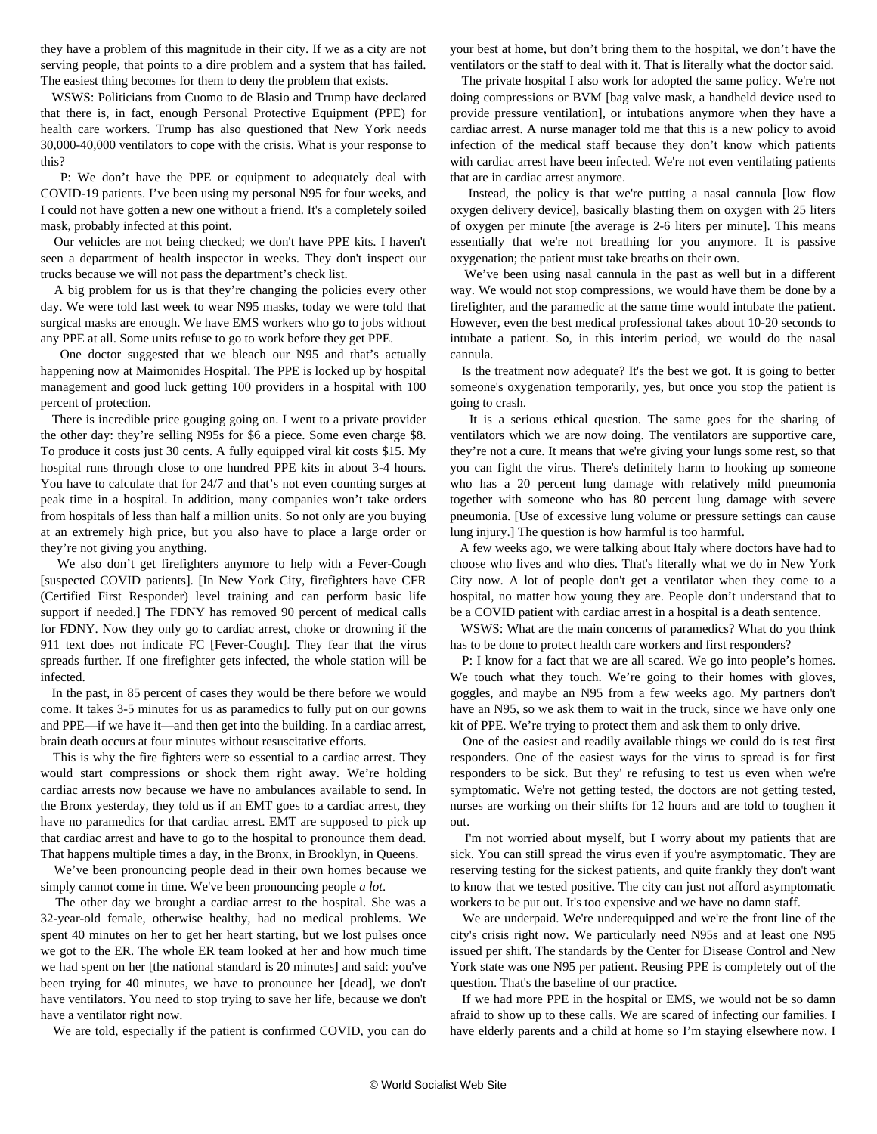they have a problem of this magnitude in their city. If we as a city are not serving people, that points to a dire problem and a system that has failed. The easiest thing becomes for them to deny the problem that exists.

 WSWS: Politicians from Cuomo to de Blasio and Trump have declared that there is, in fact, enough Personal Protective Equipment (PPE) for health care workers. Trump has also questioned that New York needs 30,000-40,000 ventilators to cope with the crisis. What is your response to this?

 P: We don't have the PPE or equipment to adequately deal with COVID-19 patients. I've been using my personal N95 for four weeks, and I could not have gotten a new one without a friend. It's a completely soiled mask, probably infected at this point.

 Our vehicles are not being checked; we don't have PPE kits. I haven't seen a department of health inspector in weeks. They don't inspect our trucks because we will not pass the department's check list.

 A big problem for us is that they're changing the policies every other day. We were told last week to wear N95 masks, today we were told that surgical masks are enough. We have EMS workers who go to jobs without any PPE at all. Some units refuse to go to work before they get PPE.

 One doctor suggested that we bleach our N95 and that's actually happening now at Maimonides Hospital. The PPE is locked up by hospital management and good luck getting 100 providers in a hospital with 100 percent of protection.

 There is incredible price gouging going on. I went to a private provider the other day: they're selling N95s for \$6 a piece. Some even charge \$8. To produce it costs just 30 cents. A fully equipped viral kit costs \$15. My hospital runs through close to one hundred PPE kits in about 3-4 hours. You have to calculate that for 24/7 and that's not even counting surges at peak time in a hospital. In addition, many companies won't take orders from hospitals of less than half a million units. So not only are you buying at an extremely high price, but you also have to place a large order or they're not giving you anything.

 We also don't get firefighters anymore to help with a Fever-Cough [suspected COVID patients]. [In New York City, firefighters have CFR (Certified First Responder) level training and can perform basic life support if needed.] The FDNY has removed 90 percent of medical calls for FDNY. Now they only go to cardiac arrest, choke or drowning if the 911 text does not indicate FC [Fever-Cough]. They fear that the virus spreads further. If one firefighter gets infected, the whole station will be infected.

 In the past, in 85 percent of cases they would be there before we would come. It takes 3-5 minutes for us as paramedics to fully put on our gowns and PPE—if we have it—and then get into the building. In a cardiac arrest, brain death occurs at four minutes without resuscitative efforts.

 This is why the fire fighters were so essential to a cardiac arrest. They would start compressions or shock them right away. We're holding cardiac arrests now because we have no ambulances available to send. In the Bronx yesterday, they told us if an EMT goes to a cardiac arrest, they have no paramedics for that cardiac arrest. EMT are supposed to pick up that cardiac arrest and have to go to the hospital to pronounce them dead. That happens multiple times a day, in the Bronx, in Brooklyn, in Queens.

 We've been pronouncing people dead in their own homes because we simply cannot come in time. We've been pronouncing people *a lot*.

 The other day we brought a cardiac arrest to the hospital. She was a 32-year-old female, otherwise healthy, had no medical problems. We spent 40 minutes on her to get her heart starting, but we lost pulses once we got to the ER. The whole ER team looked at her and how much time we had spent on her [the national standard is 20 minutes] and said: you've been trying for 40 minutes, we have to pronounce her [dead], we don't have ventilators. You need to stop trying to save her life, because we don't have a ventilator right now.

We are told, especially if the patient is confirmed COVID, you can do

your best at home, but don't bring them to the hospital, we don't have the ventilators or the staff to deal with it. That is literally what the doctor said.

 The private hospital I also work for adopted the same policy. We're not doing compressions or BVM [bag valve mask, a handheld device used to provide pressure ventilation], or intubations anymore when they have a cardiac arrest. A nurse manager told me that this is a new policy to avoid infection of the medical staff because they don't know which patients with cardiac arrest have been infected. We're not even ventilating patients that are in cardiac arrest anymore.

 Instead, the policy is that we're putting a nasal cannula [low flow oxygen delivery device], basically blasting them on oxygen with 25 liters of oxygen per minute [the average is 2-6 liters per minute]. This means essentially that we're not breathing for you anymore. It is passive oxygenation; the patient must take breaths on their own.

 We've been using nasal cannula in the past as well but in a different way. We would not stop compressions, we would have them be done by a firefighter, and the paramedic at the same time would intubate the patient. However, even the best medical professional takes about 10-20 seconds to intubate a patient. So, in this interim period, we would do the nasal cannula.

 Is the treatment now adequate? It's the best we got. It is going to better someone's oxygenation temporarily, yes, but once you stop the patient is going to crash.

 It is a serious ethical question. The same goes for the sharing of ventilators which we are now doing. The ventilators are supportive care, they're not a cure. It means that we're giving your lungs some rest, so that you can fight the virus. There's definitely harm to hooking up someone who has a 20 percent lung damage with relatively mild pneumonia together with someone who has 80 percent lung damage with severe pneumonia. [Use of excessive lung volume or pressure settings can cause lung injury.] The question is how harmful is too harmful.

 A few weeks ago, we were talking about Italy where doctors have had to choose who lives and who dies. That's literally what we do in New York City now. A lot of people don't get a ventilator when they come to a hospital, no matter how young they are. People don't understand that to be a COVID patient with cardiac arrest in a hospital is a death sentence.

 WSWS: What are the main concerns of paramedics? What do you think has to be done to protect health care workers and first responders?

 P: I know for a fact that we are all scared. We go into people's homes. We touch what they touch. We're going to their homes with gloves, goggles, and maybe an N95 from a few weeks ago. My partners don't have an N95, so we ask them to wait in the truck, since we have only one kit of PPE. We're trying to protect them and ask them to only drive.

 One of the easiest and readily available things we could do is test first responders. One of the easiest ways for the virus to spread is for first responders to be sick. But they' re refusing to test us even when we're symptomatic. We're not getting tested, the doctors are not getting tested, nurses are working on their shifts for 12 hours and are told to toughen it out.

 I'm not worried about myself, but I worry about my patients that are sick. You can still spread the virus even if you're asymptomatic. They are reserving testing for the sickest patients, and quite frankly they don't want to know that we tested positive. The city can just not afford asymptomatic workers to be put out. It's too expensive and we have no damn staff.

 We are underpaid. We're underequipped and we're the front line of the city's crisis right now. We particularly need N95s and at least one N95 issued per shift. The standards by the Center for Disease Control and New York state was one N95 per patient. Reusing PPE is completely out of the question. That's the baseline of our practice.

 If we had more PPE in the hospital or EMS, we would not be so damn afraid to show up to these calls. We are scared of infecting our families. I have elderly parents and a child at home so I'm staying elsewhere now. I